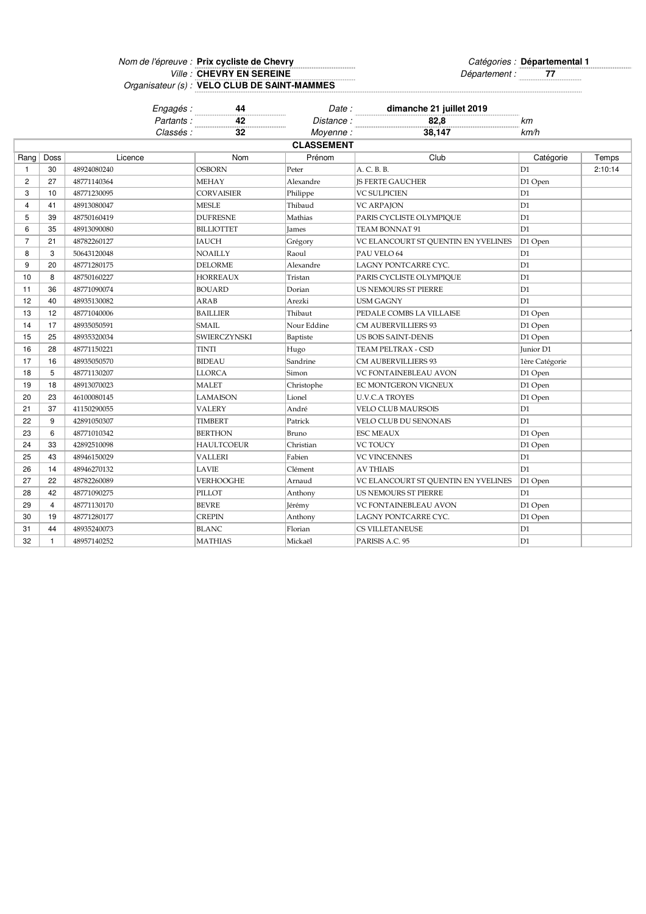Nom de l'épreuve : Prix cycliste de Chevry et annument de la controlle de Catégories : Ville : **CHEVRY EN SEREINE** *TT Politics in the set of the Département :* **77** Organisateur (s) : **Prix cycliste de Chevry Départemental 1 CHEVRY EN SEREINE VELO CLUB DE SAINT-MAMMES**

|                         |                         | Engagés :   | 44                  | Date:             | dimanche 21 juillet 2019            |                |         |
|-------------------------|-------------------------|-------------|---------------------|-------------------|-------------------------------------|----------------|---------|
|                         |                         | Partants:   | 42<br>.             | Distance:         | 82,8                                | km             |         |
|                         |                         | Classés :   | 32                  | Moyenne:          | 38,147                              | km/h           |         |
|                         |                         |             |                     | <b>CLASSEMENT</b> |                                     |                |         |
| Rang                    | Doss                    | Licence     | Nom                 | Prénom            | Club                                | Catégorie      | Temps   |
| $\mathbf{1}$            | 30                      | 48924080240 | <b>OSBORN</b>       | Peter             | A. C. B. B.                         | D1             | 2:10:14 |
| $\overline{c}$          | 27                      | 48771140364 | <b>MEHAY</b>        | Alexandre         | <b>IS FERTE GAUCHER</b>             | D1 Open        |         |
| 3                       | 10                      | 48771230095 | <b>CORVAISIER</b>   | Philippe          | <b>VC SULPICIEN</b>                 | D1             |         |
| $\overline{\mathbf{4}}$ | 41                      | 48913080047 | <b>MESLE</b>        | Thibaud           | <b>VC ARPAJON</b>                   | D1             |         |
| 5                       | 39                      | 48750160419 | <b>DUFRESNE</b>     | Mathias           | PARIS CYCLISTE OLYMPIQUE            | D1             |         |
| 6                       | 35                      | 48913090080 | <b>BILLIOTTET</b>   | James             | TEAM BONNAT 91                      | D1             |         |
| $\overline{7}$          | 21                      | 48782260127 | <b>IAUCH</b>        | Grégory           | VC ELANCOURT ST QUENTIN EN YVELINES | D1 Open        |         |
| 8                       | 3                       | 50643120048 | <b>NOAILLY</b>      | Raoul             | PAU VELO 64                         | D1             |         |
| 9                       | 20                      | 48771280175 | <b>DELORME</b>      | Alexandre         | LAGNY PONTCARRE CYC.                | D1             |         |
| 10                      | 8                       | 48750160227 | <b>HORREAUX</b>     | Tristan           | PARIS CYCLISTE OLYMPIQUE            | D1             |         |
| 11                      | 36                      | 48771090074 | <b>BOUARD</b>       | Dorian            | US NEMOURS ST PIERRE                | D1             |         |
| 12                      | 40                      | 48935130082 | ARAB                | Arezki            | <b>USM GAGNY</b>                    | D1             |         |
| 13                      | 12                      | 48771040006 | <b>BAILLIER</b>     | Thibaut           | PEDALE COMBS LA VILLAISE            | D1 Open        |         |
| 14                      | 17                      | 48935050591 | <b>SMAIL</b>        | Nour Eddine       | CM AUBERVILLIERS 93                 | D1 Open        |         |
| 15                      | 25                      | 48935320034 | <b>SWIERCZYNSKI</b> | Baptiste          | US BOIS SAINT-DENIS                 | D1 Open        |         |
| 16                      | 28                      | 48771150221 | <b>TINTI</b>        | Hugo              | TEAM PELTRAX - CSD                  | Junior D1      |         |
| 17                      | 16                      | 48935050570 | <b>BIDEAU</b>       | Sandrine          | CM AUBERVILLIERS 93                 | 1ère Catégorie |         |
| 18                      | 5                       | 48771130207 | <b>LLORCA</b>       | Simon             | VC FONTAINEBLEAU AVON               | D1 Open        |         |
| 19                      | 18                      | 48913070023 | <b>MALET</b>        | Christophe        | EC MONTGERON VIGNEUX                | D1 Open        |         |
| 20                      | 23                      | 46100080145 | <b>LAMAISON</b>     | Lionel            | <b>U.V.C.A TROYES</b>               | D1 Open        |         |
| 21                      | 37                      | 41150290055 | <b>VALERY</b>       | André             | <b>VELO CLUB MAURSOIS</b>           | D1             |         |
| 22                      | 9                       | 42891050307 | <b>TIMBERT</b>      | Patrick           | <b>VELO CLUB DU SENONAIS</b>        | D1             |         |
| 23                      | 6                       | 48771010342 | <b>BERTHON</b>      | Bruno             | <b>ESC MEAUX</b>                    | D1 Open        |         |
| 24                      | 33                      | 42892510098 | <b>HAULTCOEUR</b>   | Christian         | VC TOUCY                            | D1 Open        |         |
| 25                      | 43                      | 48946150029 | <b>VALLERI</b>      | Fabien            | <b>VC VINCENNES</b>                 | D1             |         |
| 26                      | 14                      | 48946270132 | <b>LAVIE</b>        | Clément           | <b>AV THIAIS</b>                    | D1             |         |
| 27                      | 22                      | 48782260089 | <b>VERHOOGHE</b>    | Arnaud            | VC ELANCOURT ST QUENTIN EN YVELINES | D1 Open        |         |
| 28                      | 42                      | 48771090275 | PILLOT              | Anthony           | <b>US NEMOURS ST PIERRE</b>         | D1             |         |
| 29                      | $\overline{\mathbf{4}}$ | 48771130170 | <b>BEVRE</b>        | Jérémy            | VC FONTAINEBLEAU AVON               | D1 Open        |         |
| 30                      | 19                      | 48771280177 | <b>CREPIN</b>       | Anthony           | LAGNY PONTCARRE CYC.                | D1 Open        |         |
| 31                      | 44                      | 48935240073 | <b>BLANC</b>        | Florian           | CS VILLETANEUSE                     | D1             |         |
| 32                      | $\mathbf{1}$            | 48957140252 | <b>MATHIAS</b>      | Mickaël           | PARISIS A.C. 95                     | D1             |         |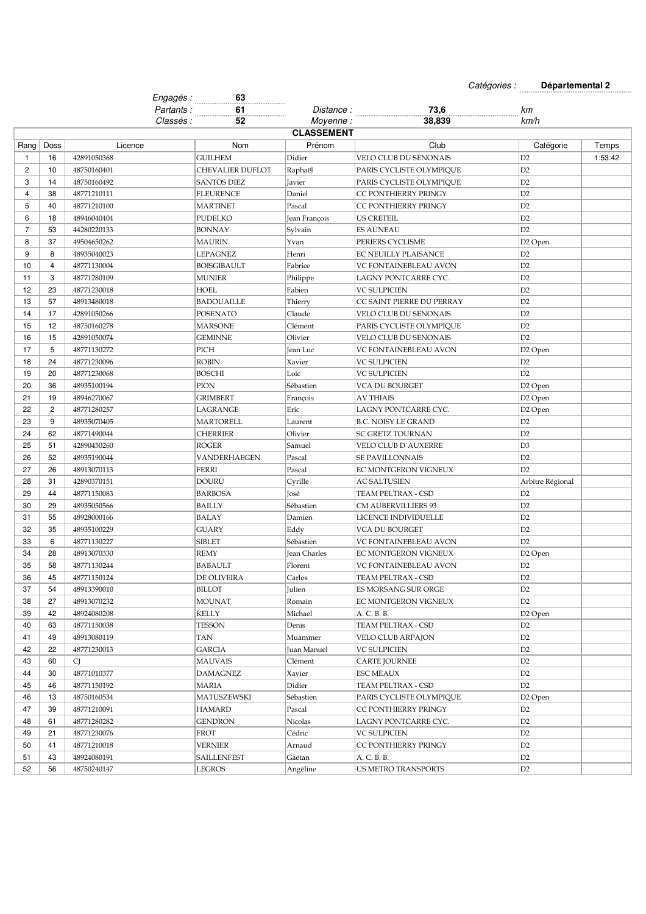N° /Catégorie Epreuve : Catégories : **Départemental 2**

u.

|                |                | Engagés :        | 63                 |                   |                            |                     |         |
|----------------|----------------|------------------|--------------------|-------------------|----------------------------|---------------------|---------|
|                |                | Partants:        | 61<br>.            | <i>Distance :</i> | 73,6                       | kт                  |         |
|                |                | <i>Classés :</i> | 52                 | Moyenne:          | 38,839                     | km/h                |         |
|                |                |                  |                    | <b>CLASSEMENT</b> |                            |                     |         |
| Rang           | Doss           | Licence          | Nom                | Prénom            | Club                       | Catégorie           | Temps   |
| 1              | 16             | 42891050368      | <b>GUILHEM</b>     | Didier            | VELO CLUB DU SENONAIS      | D2                  | 1:53:42 |
| $\overline{2}$ | 10             | 48750160401      | CHEVALIER DUFLOT   | Raphaël           | PARIS CYCLISTE OLYMPIOUE   | D2                  |         |
| 3              | 14             | 48750160492      | <b>SANTOS DIEZ</b> | Javier            | PARIS CYCLISTE OLYMPIQUE   | D <sub>2</sub>      |         |
| $\overline{4}$ | 38             | 48771210111      | <b>FLEURENCE</b>   | Daniel            | CC PONTHIERRY PRINGY       | D <sub>2</sub>      |         |
| 5              | 40             | 48771210100      | <b>MARTINET</b>    | Pascal            | CC PONTHIERRY PRINGY       | D <sub>2</sub>      |         |
| 6              | 18             | 48946040404      | <b>PUDELKO</b>     | Jean François     | US CRETEIL                 | D <sub>2</sub>      |         |
| $\overline{7}$ | 53             | 44280220133      | <b>BONNAY</b>      | Sylvain           | <b>ES AUNEAU</b>           | D <sub>2</sub>      |         |
| 8              | 37             | 49504650262      | <b>MAURIN</b>      | Yvan              | PERIERS CYCLISME           | D <sub>2</sub> Open |         |
| 9              | 8              | 48935040023      | <b>LEPAGNEZ</b>    | Henri             | EC NEUILLY PLAISANCE       | D <sub>2</sub>      |         |
| 10             | 4              | 48771130004      | <b>BOISGIBAULT</b> | Fabrice           | VC FONTAINEBLEAU AVON      | D <sub>2</sub>      |         |
| 11             | 3              | 48771280109      | <b>MUNIER</b>      | Philippe          | LAGNY PONTCARRE CYC.       | D <sub>2</sub>      |         |
| 12             | 23             | 48771230018      | HOEL               | Fabien            | VC SULPICIEN               | D <sub>2</sub>      |         |
| 13             | 57             | 48913480018      | <b>BADOUAILLE</b>  | Thierry           | CC SAINT PIERRE DU PERRAY  | D2                  |         |
| 14             | 17             | 42891050266      | POSENATO           | Claude            | VELO CLUB DU SENONAIS      | D2                  |         |
| 15             | 12             | 48750160278      | <b>MARSONE</b>     | Clément           | PARIS CYCLISTE OLYMPIQUE   | D <sub>2</sub>      |         |
| 16             | 15             | 42891050074      | <b>GEMINNE</b>     | Olivier           | VELO CLUB DU SENONAIS      | D <sub>2</sub>      |         |
| 17             | 5              | 48771130272      | PICH               | Jean Luc          | VC FONTAINEBLEAU AVON      | D <sub>2</sub> Open |         |
| 18             | 24             | 48771230096      | <b>ROBIN</b>       | Xavier            | <b>VC SULPICIEN</b>        | D <sub>2</sub>      |         |
| 19             | 20             | 48771230068      | <b>BOSCHI</b>      | Loic              | <b>VC SULPICIEN</b>        | D <sub>2</sub>      |         |
| 20             | 36             | 48935100194      | <b>PION</b>        | Sébastien         | VCA DU BOURGET             | D <sub>2</sub> Open |         |
| 21             | 19             | 48946270067      | <b>GRIMBERT</b>    | François          | <b>AV THIAIS</b>           | D2 Open             |         |
| 22             | $\overline{c}$ | 48771280257      | LAGRANGE           | Eric              | LAGNY PONTCARRE CYC.       | D <sub>2</sub> Open |         |
| 23             | 9              | 48935070405      | <b>MARTORELL</b>   | Laurent           | B.C. NOISY LE GRAND        | D <sub>2</sub>      |         |
| 24             | 62             | 48771490044      | <b>CHERRIER</b>    | Olivier           | SC GRETZ TOURNAN           | D <sub>2</sub>      |         |
| 25             | 51             | 42890450260      | <b>ROGER</b>       | Samuel            | VELO CLUB D`AUXERRE        | D <sub>3</sub>      |         |
| 26             | 52             | 48935190044      | VANDERHAEGEN       | Pascal            | SE PAVILLONNAIS            | D2                  |         |
| 27             | 26             | 48913070113      | <b>FERRI</b>       | Pascal            | EC MONTGERON VIGNEUX       | D <sub>2</sub>      |         |
| 28             | 31             | 42890370151      | <b>DOURU</b>       | Cyrille           | AC SALTUSIEN               | Arbitre Régional    |         |
| 29             | 44             | 48771150083      | <b>BARBOSA</b>     | José              | TEAM PELTRAX - CSD         | D <sub>2</sub>      |         |
| 30             | 29             | 48935050566      | BAILLY             | Sébastien         | CM AUBERVILLIERS 93        | D <sub>2</sub>      |         |
| 31             | 55             | 48928000166      | BALAY              | Damien            | LICENCE INDIVIDUELLE       | D <sub>2</sub>      |         |
| 32             | 35             | 48935100229      | <b>GUARY</b>       | Eddy              | VCA DU BOURGET             | D <sub>2</sub>      |         |
| 33             | 6              | 48771130227      | <b>SIBLET</b>      | Sébastien         | VC FONTAINEBLEAU AVON      | D2                  |         |
| 34             | 28             | 48913070330      | <b>REMY</b>        | Jean Charles      | EC MONTGERON VIGNEUX       | D <sub>2</sub> Open |         |
| 35             | 58             | 48771130244      | <b>BABAULT</b>     | Florent           | VC FONTAINEBLEAU AVON      | D <sub>2</sub>      |         |
| 36             | 45             | 48771150124      | DE OLIVEIRA        | Carlos            | TEAM PELTRAX - CSD         | D2                  |         |
| 37             | 54             | 48913390010      | <b>BILLOT</b>      | Julien            | ES MORSANG SUR ORGE        | D <sub>2</sub>      |         |
| 38             | 27             | 48913070232      | <b>MOUNAT</b>      | Romain            | EC MONTGERON VIGNEUX       | D <sub>2</sub>      |         |
| 39             | 42             | 48924080208      | <b>KELLY</b>       | Michael           | A. C. B. B.                | D2 Open             |         |
| 40             | 63             | 48771150038      | TESSON             | Denis             | TEAM PELTRAX - CSD         | D <sub>2</sub>      |         |
| 41             | 49             | 48913080119      | TAN                | Muammer           | VELO CLUB ARPAJON          | D <sub>2</sub>      |         |
| 42             | 22             | 48771230013      | GARCIA             | Juan Manuel       | VC SULPICIEN               | D <sub>2</sub>      |         |
| 43             | 60             | CJ               | <b>MAUVAIS</b>     | Clément           | <b>CARTE JOURNEE</b>       | D <sub>2</sub>      |         |
| 44             | 30             | 48771010377      | <b>DAMAGNEZ</b>    | Xavier            | <b>ESC MEAUX</b>           | D <sub>2</sub>      |         |
| 45             | 46             | 48771150192      | <b>MARIA</b>       | Didier            | TEAM PELTRAX - CSD         | D2                  |         |
| 46             | 13             | 48750160534      | MATUSZEWSKI        | Sébastien         | PARIS CYCLISTE OLYMPIQUE   | D2 Open             |         |
| 47             | 39             | 48771210091      | <b>HAMARD</b>      | Pascal            | CC PONTHIERRY PRINGY       | D <sub>2</sub>      |         |
| 48             | 61             | 48771280282      | <b>GENDRON</b>     | Nicolas           | LAGNY PONTCARRE CYC.       | D <sub>2</sub>      |         |
| 49             | 21             | 48771230076      | FROT               | Cédric            | VC SULPICIEN               | D <sub>2</sub>      |         |
| 50             | 41             | 48771210018      | VERNIER            |                   | CC PONTHIERRY PRINGY       | D <sub>2</sub>      |         |
| 51             | 43             |                  |                    | Arnaud            |                            | D2                  |         |
|                |                | 48924080191      | <b>SAILLENFEST</b> | Gaëtan            | A. C. B. B.                |                     |         |
| 52             | 56             | 48750240147      | LEGROS             | Angéline          | <b>US METRO TRANSPORTS</b> | D <sub>2</sub>      |         |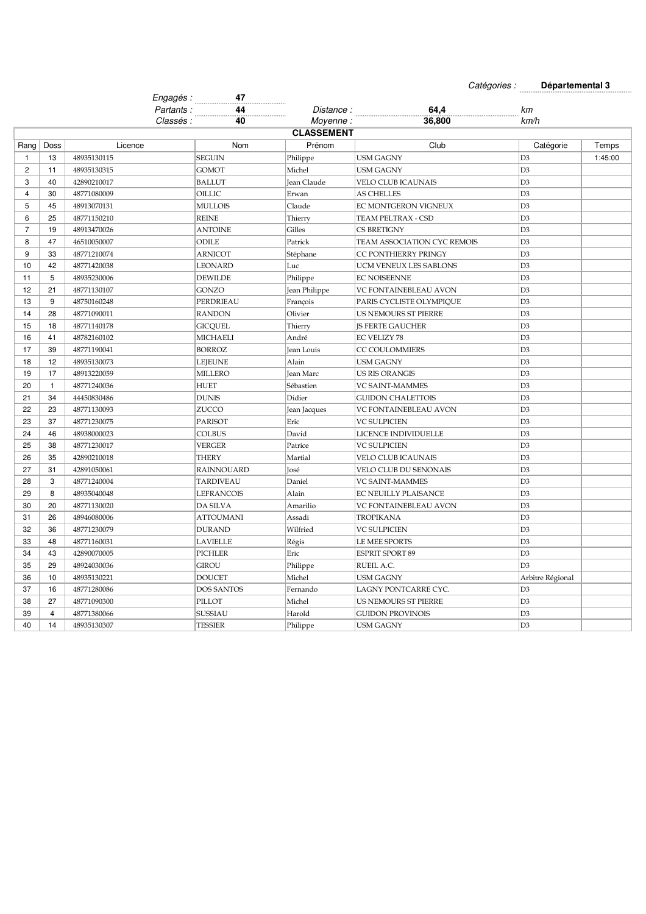Catégories : **Départemental 3**

m.

|                |                | Engagés :   | 47<br>.           |                   |                             |                  |         |
|----------------|----------------|-------------|-------------------|-------------------|-----------------------------|------------------|---------|
|                |                | Partants:   | 44                | Distance :        | 64,4                        | kт               |         |
|                |                | Classés :   | 40                | Movenne:          | 36,800                      | km/h             |         |
|                |                |             |                   | <b>CLASSEMENT</b> |                             |                  |         |
| Rang           | Doss           | Licence     | Nom               | Prénom            | Club                        | Catégorie        | Temps   |
| $\mathbf{1}$   | 13             | 48935130115 | <b>SEGUIN</b>     | Philippe          | <b>USM GAGNY</b>            | D <sub>3</sub>   | 1:45:00 |
| $\overline{c}$ | 11             | 48935130315 | <b>GOMOT</b>      | Michel            | <b>USM GAGNY</b>            | D <sub>3</sub>   |         |
| 3              | 40             | 42890210017 | <b>BALLUT</b>     | Jean Claude       | <b>VELO CLUB ICAUNAIS</b>   | D <sub>3</sub>   |         |
| 4              | 30             | 48771080009 | OILLIC            | Erwan             | <b>AS CHELLES</b>           | D <sub>3</sub>   |         |
| 5              | 45             | 48913070131 | <b>MULLOIS</b>    | Claude            | EC MONTGERON VIGNEUX        | D <sub>3</sub>   |         |
| 6              | 25             | 48771150210 | <b>REINE</b>      | Thierry           | TEAM PELTRAX - CSD          | D <sub>3</sub>   |         |
| $\overline{7}$ | 19             | 48913470026 | <b>ANTOINE</b>    | Gilles            | CS BRETIGNY                 | D <sub>3</sub>   |         |
| 8              | 47             | 46510050007 | <b>ODILE</b>      | Patrick           | TEAM ASSOCIATION CYC REMOIS | D <sub>3</sub>   |         |
| 9              | 33             | 48771210074 | <b>ARNICOT</b>    | Stéphane          | CC PONTHIERRY PRINGY        | D <sub>3</sub>   |         |
| 10             | 42             | 48771420038 | <b>LEONARD</b>    | Luc               | UCM VENEUX LES SABLONS      | D <sub>3</sub>   |         |
| 11             | 5              | 48935230006 | <b>DEWILDE</b>    | Philippe          | <b>EC NOISEENNE</b>         | D <sub>3</sub>   |         |
| 12             | 21             | 48771130107 | <b>GONZO</b>      | Jean Philippe     | VC FONTAINEBLEAU AVON       | D <sub>3</sub>   |         |
| 13             | 9              | 48750160248 | PERDRIEAU         | François          | PARIS CYCLISTE OLYMPIQUE    | D <sub>3</sub>   |         |
| 14             | 28             | 48771090011 | <b>RANDON</b>     | Olivier           | US NEMOURS ST PIERRE        | D <sub>3</sub>   |         |
| 15             | 18             | 48771140178 | <b>GICQUEL</b>    | Thierry           | <b>IS FERTE GAUCHER</b>     | D <sub>3</sub>   |         |
| 16             | 41             | 48782160102 | <b>MICHAELI</b>   | André             | EC VELIZY 78                | D <sub>3</sub>   |         |
| 17             | 39             | 48771190041 | <b>BORROZ</b>     | Jean Louis        | CC COULOMMIERS              | D <sub>3</sub>   |         |
| 18             | 12             | 48935130073 | <b>LEJEUNE</b>    | Alain             | <b>USM GAGNY</b>            | D <sub>3</sub>   |         |
| 19             | 17             | 48913220059 | <b>MILLERO</b>    | Jean Marc         | <b>US RIS ORANGIS</b>       | D <sub>3</sub>   |         |
| 20             | $\mathbf{1}$   | 48771240036 | <b>HUET</b>       | Sébastien         | <b>VC SAINT-MAMMES</b>      | D <sub>3</sub>   |         |
| 21             | 34             | 44450830486 | <b>DUNIS</b>      | Didier            | <b>GUIDON CHALETTOIS</b>    | D <sub>3</sub>   |         |
| 22             | 23             | 48771130093 | ZUCCO             | Jean Jacques      | VC FONTAINEBLEAU AVON       | D <sub>3</sub>   |         |
| 23             | 37             | 48771230075 | PARISOT           | Eric              | <b>VC SULPICIEN</b>         | D <sub>3</sub>   |         |
| 24             | 46             | 48938000023 | <b>COLBUS</b>     | David             | LICENCE INDIVIDUELLE        | D <sub>3</sub>   |         |
| 25             | 38             | 48771230017 | <b>VERGER</b>     | Patrice           | <b>VC SULPICIEN</b>         | D <sub>3</sub>   |         |
| 26             | 35             | 42890210018 | <b>THERY</b>      | Martial           | <b>VELO CLUB ICAUNAIS</b>   | D <sub>3</sub>   |         |
| 27             | 31             | 42891050061 | <b>RAINNOUARD</b> | José              | VELO CLUB DU SENONAIS       | D <sub>3</sub>   |         |
| 28             | 3              | 48771240004 | TARDIVEAU         | Daniel            | <b>VC SAINT-MAMMES</b>      | D <sub>3</sub>   |         |
| 29             | 8              | 48935040048 | <b>LEFRANCOIS</b> | Alain             | EC NEUILLY PLAISANCE        | D <sub>3</sub>   |         |
| 30             | 20             | 48771130020 | DA SILVA          | Amarilio          | VC FONTAINEBLEAU AVON       | D <sub>3</sub>   |         |
| 31             | 26             | 48946080006 | <b>ATTOUMANI</b>  | Assadi            | <b>TROPIKANA</b>            | D <sub>3</sub>   |         |
| 32             | 36             | 48771230079 | <b>DURAND</b>     | Wilfried          | <b>VC SULPICIEN</b>         | D <sub>3</sub>   |         |
| 33             | 48             | 48771160031 | <b>LAVIELLE</b>   | Régis             | LE MEE SPORTS               | D <sub>3</sub>   |         |
| 34             | 43             | 42890070005 | <b>PICHLER</b>    | Eric              | <b>ESPRIT SPORT 89</b>      | D <sub>3</sub>   |         |
| 35             | 29             | 48924030036 | <b>GIROU</b>      | Philippe          | RUEIL A.C.                  | D <sub>3</sub>   |         |
| 36             | 10             | 48935130221 | <b>DOUCET</b>     | Michel            | <b>USM GAGNY</b>            | Arbitre Régional |         |
| 37             | 16             | 48771280086 | <b>DOS SANTOS</b> | Fernando          | LAGNY PONTCARRE CYC.        | D <sub>3</sub>   |         |
| 38             | 27             | 48771090300 | PILLOT            | Michel            | US NEMOURS ST PIERRE        | D <sub>3</sub>   |         |
| 39             | $\overline{4}$ | 48771380066 | SUSSIAU           | Harold            | <b>GUIDON PROVINOIS</b>     | D <sub>3</sub>   |         |
| 40             | 14             | 48935130307 | <b>TESSIER</b>    | Philippe          | <b>USM GAGNY</b>            | D <sub>3</sub>   |         |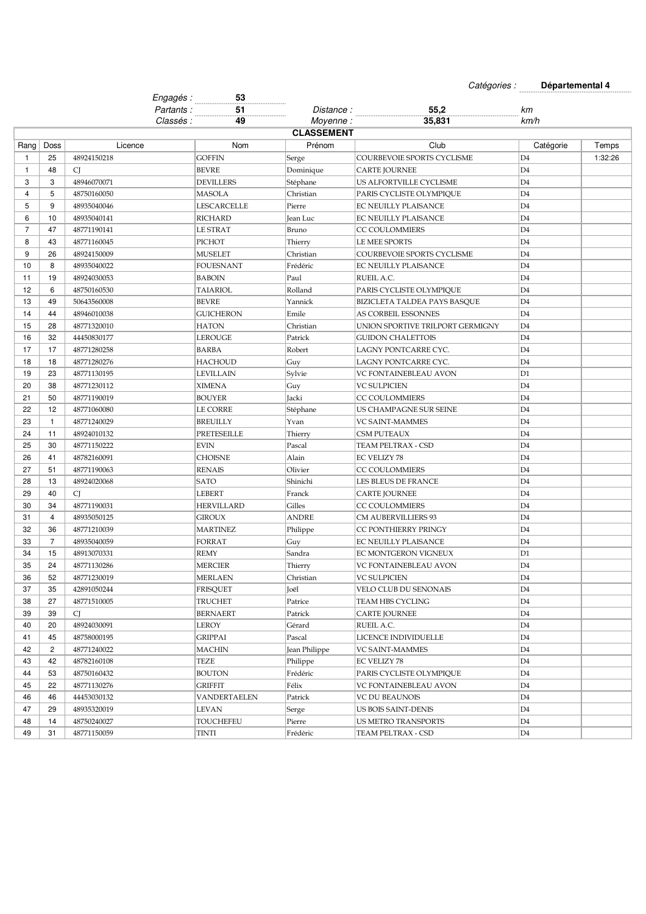Catégories : **Départemental 4**

|                |                |             | Engagés:  | 53                 |                   |                                  |                |         |
|----------------|----------------|-------------|-----------|--------------------|-------------------|----------------------------------|----------------|---------|
|                |                |             | Partants: | 51                 | Distance :        | 55,2                             | kт             |         |
|                |                |             | Classés : | 49                 | Moyenne:          | 35,831                           | km/h           |         |
|                |                |             |           |                    | <b>CLASSEMENT</b> |                                  |                |         |
| Rang           | Doss           | Licence     |           | Nom                | Prénom            | Club                             | Catégorie      | Temps   |
| 1              | 25             | 48924150218 |           | <b>GOFFIN</b>      | Serge             | COURBEVOIE SPORTS CYCLISME       | D4             | 1:32:26 |
| $\mathbf{1}$   | 48             | CJ          |           | <b>BEVRE</b>       | Dominique         | <b>CARTE JOURNEE</b>             | D4             |         |
| 3              | 3              | 48946070071 |           | <b>DEVILLERS</b>   | Stéphane          | US ALFORTVILLE CYCLISME          | D <sub>4</sub> |         |
| 4              | 5              | 48750160050 |           | <b>MASOLA</b>      | Christian         | PARIS CYCLISTE OLYMPIQUE         | D4             |         |
| 5              | 9              | 48935040046 |           | <b>LESCARCELLE</b> | Pierre            | EC NEUILLY PLAISANCE             | D <sub>4</sub> |         |
| 6              | 10             | 48935040141 |           | <b>RICHARD</b>     | Jean Luc          | EC NEUILLY PLAISANCE             | D4             |         |
| $\overline{7}$ | 47             | 48771190141 |           | <b>LE STRAT</b>    | Bruno             | <b>CC COULOMMIERS</b>            | D <sub>4</sub> |         |
| 8              | 43             | 48771160045 |           | PICHOT             | Thierry           | LE MEE SPORTS                    | D4             |         |
| 9              | 26             | 48924150009 |           | <b>MUSELET</b>     | Christian         | COURBEVOIE SPORTS CYCLISME       | D <sub>4</sub> |         |
| 10             | 8              | 48935040022 |           | <b>FOUESNANT</b>   | Frédéric          | EC NEUILLY PLAISANCE             | D <sub>4</sub> |         |
| 11             | 19             | 48924030053 |           | <b>BABOIN</b>      | Paul              | RUEIL A.C.                       | D <sub>4</sub> |         |
| 12             | 6              | 48750160530 |           | <b>TAIARIOL</b>    | Rolland           | PARIS CYCLISTE OLYMPIQUE         | D <sub>4</sub> |         |
| 13             | 49             | 50643560008 |           | <b>BEVRE</b>       | Yannick           | BIZICLETA TALDEA PAYS BASQUE     | D <sub>4</sub> |         |
| 14             | 44             | 48946010038 |           | <b>GUICHERON</b>   | Emile             | AS CORBEIL ESSONNES              | D4             |         |
| 15             | 28             | 48771320010 |           | <b>HATON</b>       | Christian         | UNION SPORTIVE TRILPORT GERMIGNY | D <sub>4</sub> |         |
| 16             | 32             | 44450830177 |           | <b>LEROUGE</b>     | Patrick           | <b>GUIDON CHALETTOIS</b>         | D <sub>4</sub> |         |
| 17             | 17             | 48771280258 |           | <b>BARBA</b>       | Robert            | LAGNY PONTCARRE CYC.             | D <sub>4</sub> |         |
| 18             | 18             | 48771280276 |           | <b>HACHOUD</b>     | Guy               | LAGNY PONTCARRE CYC.             | D <sub>4</sub> |         |
| 19             | 23             | 48771130195 |           | <b>LEVILLAIN</b>   | Sylvie            | VC FONTAINEBLEAU AVON            | D1             |         |
| 20             | 38             | 48771230112 |           | <b>XIMENA</b>      | Guy               | <b>VC SULPICIEN</b>              | D4             |         |
| 21             | 50             | 48771190019 |           | <b>BOUYER</b>      | Jacki             | <b>CC COULOMMIERS</b>            | D4             |         |
| 22             | 12             | 48771060080 |           | <b>LE CORRE</b>    | Stéphane          | US CHAMPAGNE SUR SEINE           | D <sub>4</sub> |         |
| 23             | $\mathbf{1}$   | 48771240029 |           | <b>BREUILLY</b>    | Yvan              | <b>VC SAINT-MAMMES</b>           | D4             |         |
| 24             | 11             | 48924010132 |           | PRETESEILLE        | Thierry           | <b>CSM PUTEAUX</b>               | D <sub>4</sub> |         |
| 25             | 30             | 48771150222 |           | <b>EVIN</b>        | Pascal            | TEAM PELTRAX - CSD               | D4             |         |
| 26             | 41             | 48782160091 |           | <b>CHOISNE</b>     | Alain             | <b>EC VELIZY 78</b>              | D4             |         |
| 27             | 51             | 48771190063 |           | <b>RENAIS</b>      | Olivier           | CC COULOMMIERS                   | D4             |         |
| 28             | 13             | 48924020068 |           | <b>SATO</b>        | Shinichi          | LES BLEUS DE FRANCE              | D <sub>4</sub> |         |
| 29             | 40             | CJ          |           | <b>LEBERT</b>      | Franck            | <b>CARTE JOURNEE</b>             | D <sub>4</sub> |         |
| 30             | 34             | 48771190031 |           | <b>HERVILLARD</b>  | Gilles            | CC COULOMMIERS                   | D <sub>4</sub> |         |
| 31             | $\overline{4}$ | 48935050125 |           | <b>GIROUX</b>      | <b>ANDRE</b>      | <b>CM AUBERVILLIERS 93</b>       | D4             |         |
| 32             | 36             | 48771210039 |           | <b>MARTINEZ</b>    | Philippe          | CC PONTHIERRY PRINGY             | D <sub>4</sub> |         |
| 33             | $\overline{7}$ | 48935040059 |           | <b>FORRAT</b>      | Guy               | EC NEUILLY PLAISANCE             | D4             |         |
| 34             | 15             | 48913070331 |           | <b>REMY</b>        | Sandra            | EC MONTGERON VIGNEUX             | D <sub>1</sub> |         |
| 35             | 24             | 48771130286 |           | <b>MERCIER</b>     | Thierry           | VC FONTAINEBLEAU AVON            | D <sub>4</sub> |         |
| 36             | 52             | 48771230019 |           | <b>MERLAEN</b>     | Christian         | <b>VC SULPICIEN</b>              | D4             |         |
| 37             | 35             | 42891050244 |           | <b>FRISQUET</b>    | Joël              | VELO CLUB DU SENONAIS            | D4             |         |
| 38             | 27             | 48771510005 |           | TRUCHET            | Patrice           | TEAM HBS CYCLING                 | D4             |         |
| 39             | 39             | CJ          |           | <b>BERNAERT</b>    | Patrick           | <b>CARTE JOURNEE</b>             | D4             |         |
| 40             | 20             | 48924030091 |           | LEROY              | Gérard            | RUEIL A.C.                       | D4             |         |
| 41             | 45             | 48758000195 |           | <b>GRIPPAI</b>     | Pascal            | LICENCE INDIVIDUELLE             | D4             |         |
| 42             | 2              | 48771240022 |           | <b>MACHIN</b>      | Jean Philippe     | VC SAINT-MAMMES                  | D <sub>4</sub> |         |
| 43             | 42             | 48782160108 |           | TEZE               | Philippe          | EC VELIZY 78                     | D <sub>4</sub> |         |
| 44             | 53             | 48750160432 |           | <b>BOUTON</b>      | Frédéric          | PARIS CYCLISTE OLYMPIQUE         | D4             |         |
| 45             | 22             | 48771130276 |           | <b>GRIFFIT</b>     | Félix             | VC FONTAINEBLEAU AVON            | D <sub>4</sub> |         |
| 46             | 46             | 44453030132 |           | VANDERTAELEN       | Patrick           | <b>VC DU BEAUNOIS</b>            | D4             |         |
| 47             | 29             | 48935320019 |           | LEVAN              | Serge             | <b>US BOIS SAINT-DENIS</b>       | D <sub>4</sub> |         |
| 48             | 14             | 48750240027 |           | TOUCHEFEU          | Pierre            | US METRO TRANSPORTS              | D4             |         |
| 49             | 31             | 48771150059 |           | TINTI              | Frédéric          | TEAM PELTRAX - CSD               | D4             |         |